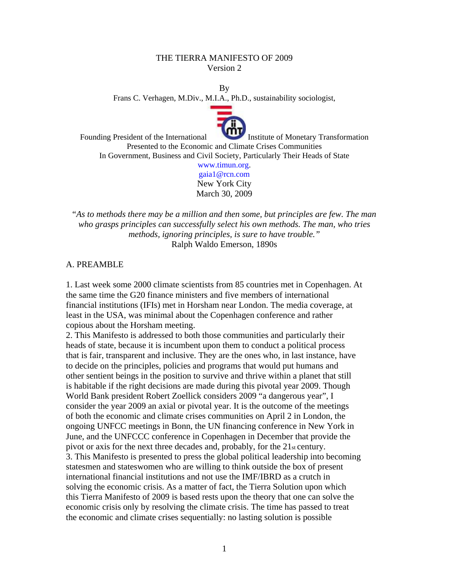## THE TIERRA MANIFESTO OF 2009 Version 2

By

Frans C. Verhagen, M.Div., M.I.A., Ph.D., sustainability sociologist,



Founding President of the International Institute of Monetary Transformation Presented to the Economic and Climate Crises Communities In Government, Business and Civil Society, Particularly Their Heads of State www.timun.org.

> gaia1@rcn.com New York City March 30, 2009

"*As to methods there may be a million and then some, but principles are few. The man who grasps principles can successfully select his own methods. The man, who tries methods, ignoring principles, is sure to have trouble."*  Ralph Waldo Emerson, 1890s

### A. PREAMBLE

1. Last week some 2000 climate scientists from 85 countries met in Copenhagen. At the same time the G20 finance ministers and five members of international financial institutions (IFIs) met in Horsham near London. The media coverage, at least in the USA, was minimal about the Copenhagen conference and rather copious about the Horsham meeting.

2. This Manifesto is addressed to both those communities and particularly their heads of state, because it is incumbent upon them to conduct a political process that is fair, transparent and inclusive. They are the ones who, in last instance, have to decide on the principles, policies and programs that would put humans and other sentient beings in the position to survive and thrive within a planet that still is habitable if the right decisions are made during this pivotal year 2009. Though World Bank president Robert Zoellick considers 2009 "a dangerous year", I consider the year 2009 an axial or pivotal year. It is the outcome of the meetings of both the economic and climate crises communities on April 2 in London, the ongoing UNFCC meetings in Bonn, the UN financing conference in New York in June, and the UNFCCC conference in Copenhagen in December that provide the pivot or axis for the next three decades and, probably, for the 21st century. 3. This Manifesto is presented to press the global political leadership into becoming statesmen and stateswomen who are willing to think outside the box of present international financial institutions and not use the IMF/IBRD as a crutch in solving the economic crisis. As a matter of fact, the Tierra Solution upon which this Tierra Manifesto of 2009 is based rests upon the theory that one can solve the economic crisis only by resolving the climate crisis. The time has passed to treat the economic and climate crises sequentially: no lasting solution is possible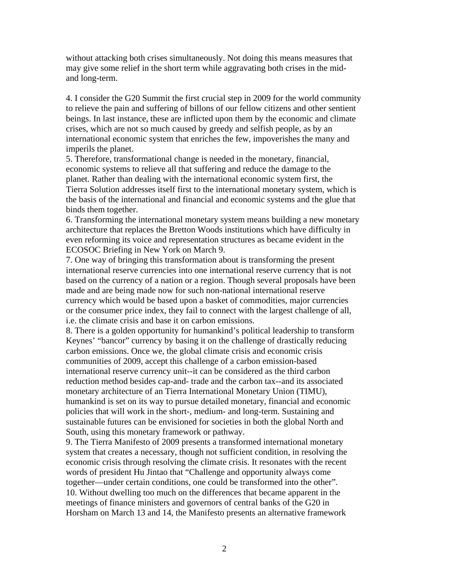without attacking both crises simultaneously. Not doing this means measures that may give some relief in the short term while aggravating both crises in the midand long-term.

4. I consider the G20 Summit the first crucial step in 2009 for the world community to relieve the pain and suffering of billons of our fellow citizens and other sentient beings. In last instance, these are inflicted upon them by the economic and climate crises, which are not so much caused by greedy and selfish people, as by an international economic system that enriches the few, impoverishes the many and imperils the planet.

5. Therefore, transformational change is needed in the monetary, financial, economic systems to relieve all that suffering and reduce the damage to the planet. Rather than dealing with the international economic system first, the Tierra Solution addresses itself first to the international monetary system, which is the basis of the international and financial and economic systems and the glue that binds them together.

6. Transforming the international monetary system means building a new monetary architecture that replaces the Bretton Woods institutions which have difficulty in even reforming its voice and representation structures as became evident in the ECOSOC Briefing in New York on March 9.

7. One way of bringing this transformation about is transforming the present international reserve currencies into one international reserve currency that is not based on the currency of a nation or a region. Though several proposals have been made and are being made now for such non-national international reserve currency which would be based upon a basket of commodities, major currencies or the consumer price index, they fail to connect with the largest challenge of all, i.e. the climate crisis and base it on carbon emissions.

8. There is a golden opportunity for humankind's political leadership to transform Keynes' "bancor" currency by basing it on the challenge of drastically reducing carbon emissions. Once we, the global climate crisis and economic crisis communities of 2009, accept this challenge of a carbon emission-based international reserve currency unit--it can be considered as the third carbon reduction method besides cap-and- trade and the carbon tax--and its associated monetary architecture of an Tierra International Monetary Union (TIMU), humankind is set on its way to pursue detailed monetary, financial and economic policies that will work in the short-, medium- and long-term. Sustaining and sustainable futures can be envisioned for societies in both the global North and South, using this monetary framework or pathway.

9. The Tierra Manifesto of 2009 presents a transformed international monetary system that creates a necessary, though not sufficient condition, in resolving the economic crisis through resolving the climate crisis. It resonates with the recent words of president Hu Jintao that "Challenge and opportunity always come together—under certain conditions, one could be transformed into the other". 10. Without dwelling too much on the differences that became apparent in the meetings of finance ministers and governors of central banks of the G20 in Horsham on March 13 and 14, the Manifesto presents an alternative framework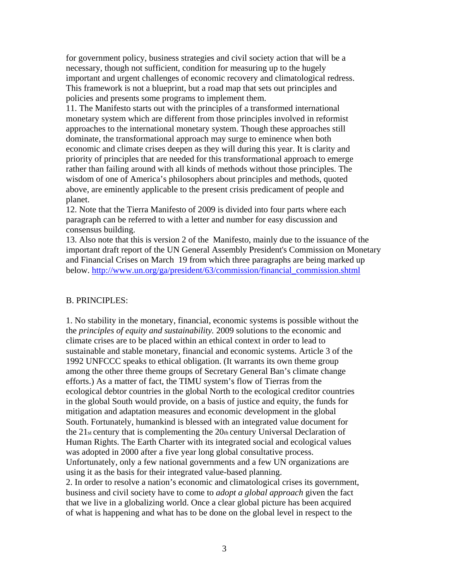for government policy, business strategies and civil society action that will be a necessary, though not sufficient, condition for measuring up to the hugely important and urgent challenges of economic recovery and climatological redress. This framework is not a blueprint, but a road map that sets out principles and policies and presents some programs to implement them.

11. The Manifesto starts out with the principles of a transformed international monetary system which are different from those principles involved in reformist approaches to the international monetary system. Though these approaches still dominate, the transformational approach may surge to eminence when both economic and climate crises deepen as they will during this year. It is clarity and priority of principles that are needed for this transformational approach to emerge rather than failing around with all kinds of methods without those principles. The wisdom of one of America's philosophers about principles and methods, quoted above, are eminently applicable to the present crisis predicament of people and planet.

12. Note that the Tierra Manifesto of 2009 is divided into four parts where each paragraph can be referred to with a letter and number for easy discussion and consensus building.

13. Also note that this is version 2 of the Manifesto, mainly due to the issuance of the important draft report of the UN General Assembly President's Commission on Monetary and Financial Crises on March 19 from which three paragraphs are being marked up below. http://www.un.org/ga/president/63/commission/financial\_commission.shtml

### B. PRINCIPLES:

1. No stability in the monetary, financial, economic systems is possible without the the *principles of equity and sustainability.* 2009 solutions to the economic and climate crises are to be placed within an ethical context in order to lead to sustainable and stable monetary, financial and economic systems. Article 3 of the 1992 UNFCCC speaks to ethical obligation. (It warrants its own theme group among the other three theme groups of Secretary General Ban's climate change efforts.) As a matter of fact, the TIMU system's flow of Tierras from the ecological debtor countries in the global North to the ecological creditor countries in the global South would provide, on a basis of justice and equity, the funds for mitigation and adaptation measures and economic development in the global South. Fortunately, humankind is blessed with an integrated value document for the  $21$ <sub>st</sub> century that is complementing the  $20<sub>th</sub>$  century Universal Declaration of Human Rights. The Earth Charter with its integrated social and ecological values was adopted in 2000 after a five year long global consultative process. Unfortunately, only a few national governments and a few UN organizations are using it as the basis for their integrated value-based planning.

2. In order to resolve a nation's economic and climatological crises its government, business and civil society have to come to *adopt a global approach* given the fact that we live in a globalizing world. Once a clear global picture has been acquired of what is happening and what has to be done on the global level in respect to the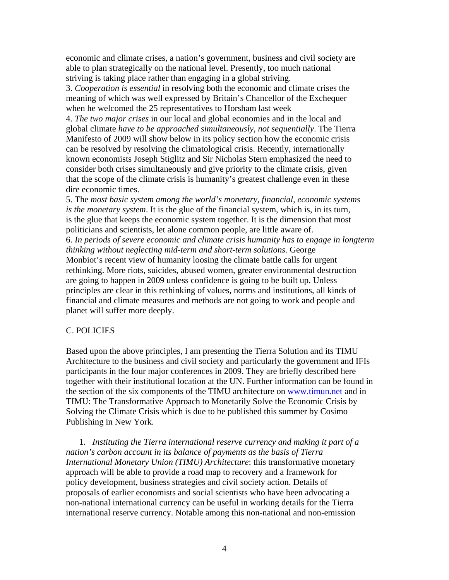economic and climate crises, a nation's government, business and civil society are able to plan strategically on the national level. Presently, too much national striving is taking place rather than engaging in a global striving.

3. *Cooperation is essential* in resolving both the economic and climate crises the meaning of which was well expressed by Britain's Chancellor of the Exchequer when he welcomed the 25 representatives to Horsham last week

4. *The two major crises* in our local and global economies and in the local and global climate *have to be approached simultaneously, not sequentially*. The Tierra Manifesto of 2009 will show below in its policy section how the economic crisis can be resolved by resolving the climatological crisis. Recently, internationally known economists Joseph Stiglitz and Sir Nicholas Stern emphasized the need to consider both crises simultaneously and give priority to the climate crisis, given that the scope of the climate crisis is humanity's greatest challenge even in these dire economic times.

5. The *most basic system among the world's monetary, financial, economic systems is the monetary system*. It is the glue of the financial system, which is, in its turn, is the glue that keeps the economic system together. It is the dimension that most politicians and scientists, let alone common people, are little aware of. 6. *In periods of severe economic and climate crisis humanity has to engage in longterm thinking without neglecting mid-term and short-term solutions.* George Monbiot's recent view of humanity loosing the climate battle calls for urgent rethinking. More riots, suicides, abused women, greater environmental destruction are going to happen in 2009 unless confidence is going to be built up. Unless principles are clear in this rethinking of values, norms and institutions, all kinds of financial and climate measures and methods are not going to work and people and planet will suffer more deeply.

### C. POLICIES

Based upon the above principles, I am presenting the Tierra Solution and its TIMU Architecture to the business and civil society and particularly the government and IFIs participants in the four major conferences in 2009. They are briefly described here together with their institutional location at the UN. Further information can be found in the section of the six components of the TIMU architecture on www.timun.net and in TIMU: The Transformative Approach to Monetarily Solve the Economic Crisis by Solving the Climate Crisis which is due to be published this summer by Cosimo Publishing in New York.

1. *Instituting the Tierra international reserve currency and making it part of a nation's carbon account in its balance of payments as the basis of Tierra International Monetary Union (TIMU) Architecture*: this transformative monetary approach will be able to provide a road map to recovery and a framework for policy development, business strategies and civil society action. Details of proposals of earlier economists and social scientists who have been advocating a non-national international currency can be useful in working details for the Tierra international reserve currency. Notable among this non-national and non-emission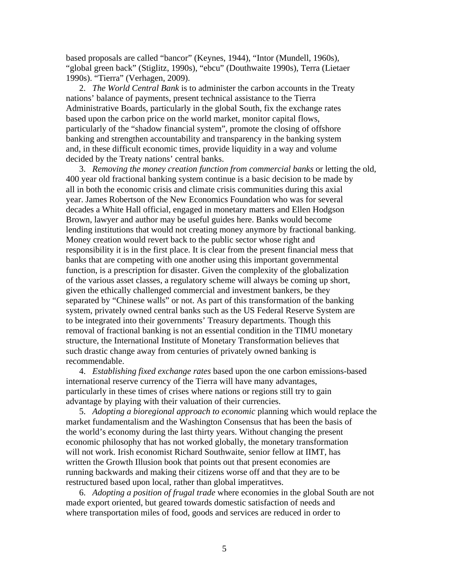based proposals are called "bancor" (Keynes, 1944), "Intor (Mundell, 1960s), "global green back" (Stiglitz, 1990s), "ebcu" (Douthwaite 1990s), Terra (Lietaer 1990s). "Tierra" (Verhagen, 2009).

2. *The World Central Bank* is to administer the carbon accounts in the Treaty nations' balance of payments, present technical assistance to the Tierra Administrative Boards, particularly in the global South, fix the exchange rates based upon the carbon price on the world market, monitor capital flows, particularly of the "shadow financial system", promote the closing of offshore banking and strengthen accountability and transparency in the banking system and, in these difficult economic times, provide liquidity in a way and volume decided by the Treaty nations' central banks.

3. *Removing the money creation function from commercial banks* or letting the old, 400 year old fractional banking system continue is a basic decision to be made by all in both the economic crisis and climate crisis communities during this axial year. James Robertson of the New Economics Foundation who was for several decades a White Hall official, engaged in monetary matters and Ellen Hodgson Brown, lawyer and author may be useful guides here. Banks would become lending institutions that would not creating money anymore by fractional banking. Money creation would revert back to the public sector whose right and responsibility it is in the first place. It is clear from the present financial mess that banks that are competing with one another using this important governmental function, is a prescription for disaster. Given the complexity of the globalization of the various asset classes, a regulatory scheme will always be coming up short, given the ethically challenged commercial and investment bankers, be they separated by "Chinese walls" or not. As part of this transformation of the banking system, privately owned central banks such as the US Federal Reserve System are to be integrated into their governments' Treasury departments. Though this removal of fractional banking is not an essential condition in the TIMU monetary structure, the International Institute of Monetary Transformation believes that such drastic change away from centuries of privately owned banking is recommendable.

4. *Establishing fixed exchange rates* based upon the one carbon emissions-based international reserve currency of the Tierra will have many advantages, particularly in these times of crises where nations or regions still try to gain advantage by playing with their valuation of their currencies.

5. *Adopting a bioregional approach to economic* planning which would replace the market fundamentalism and the Washington Consensus that has been the basis of the world's economy during the last thirty years. Without changing the present economic philosophy that has not worked globally, the monetary transformation will not work. Irish economist Richard Southwaite, senior fellow at IIMT, has written the Growth Illusion book that points out that present economies are running backwards and making their citizens worse off and that they are to be restructured based upon local, rather than global imperatitves.

6. *Adopting a position of frugal trade* where economies in the global South are not made export oriented, but geared towards domestic satisfaction of needs and where transportation miles of food, goods and services are reduced in order to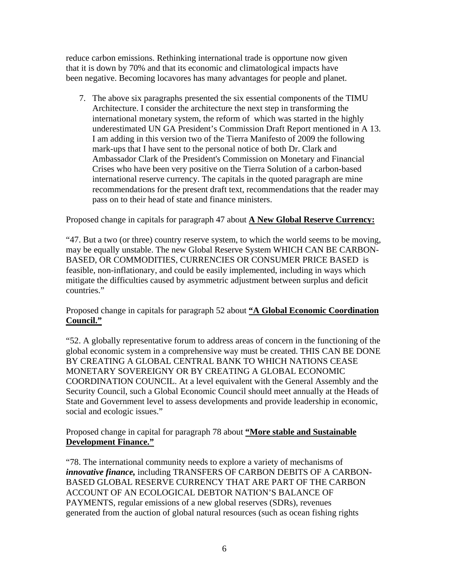reduce carbon emissions. Rethinking international trade is opportune now given that it is down by 70% and that its economic and climatological impacts have been negative. Becoming locavores has many advantages for people and planet.

7. The above six paragraphs presented the six essential components of the TIMU Architecture. I consider the architecture the next step in transforming the international monetary system, the reform of which was started in the highly underestimated UN GA President's Commission Draft Report mentioned in A 13. I am adding in this version two of the Tierra Manifesto of 2009 the following mark-ups that I have sent to the personal notice of both Dr. Clark and Ambassador Clark of the President's Commission on Monetary and Financial Crises who have been very positive on the Tierra Solution of a carbon-based international reserve currency. The capitals in the quoted paragraph are mine recommendations for the present draft text, recommendations that the reader may pass on to their head of state and finance ministers.

Proposed change in capitals for paragraph 47 about **A New Global Reserve Currency:**

"47. But a two (or three) country reserve system, to which the world seems to be moving, may be equally unstable. The new Global Reserve System WHICH CAN BE CARBON-BASED, OR COMMODITIES, CURRENCIES OR CONSUMER PRICE BASED is feasible, non-inflationary, and could be easily implemented, including in ways which mitigate the difficulties caused by asymmetric adjustment between surplus and deficit countries."

Proposed change in capitals for paragraph 52 about **"A Global Economic Coordination Council."**

"52. A globally representative forum to address areas of concern in the functioning of the global economic system in a comprehensive way must be created. THIS CAN BE DONE BY CREATING A GLOBAL CENTRAL BANK TO WHICH NATIONS CEASE MONETARY SOVEREIGNY OR BY CREATING A GLOBAL ECONOMIC COORDINATION COUNCIL. At a level equivalent with the General Assembly and the Security Council, such a Global Economic Council should meet annually at the Heads of State and Government level to assess developments and provide leadership in economic, social and ecologic issues."

Proposed change in capital for paragraph 78 about **"More stable and Sustainable Development Finance."**

"78. The international community needs to explore a variety of mechanisms of *innovative finance,* including TRANSFERS OF CARBON DEBITS OF A CARBON-BASED GLOBAL RESERVE CURRENCY THAT ARE PART OF THE CARBON ACCOUNT OF AN ECOLOGICAL DEBTOR NATION'S BALANCE OF PAYMENTS, regular emissions of a new global reserves (SDRs), revenues generated from the auction of global natural resources (such as ocean fishing rights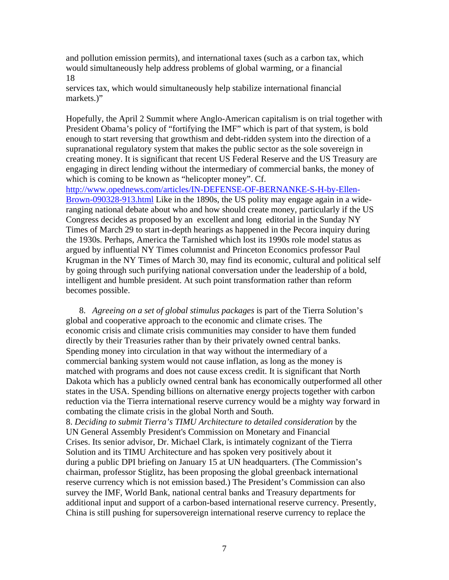and pollution emission permits), and international taxes (such as a carbon tax, which would simultaneously help address problems of global warming, or a financial 18

services tax, which would simultaneously help stabilize international financial markets.<sup>"</sup>

Hopefully, the April 2 Summit where Anglo-American capitalism is on trial together with President Obama's policy of "fortifying the IMF" which is part of that system, is bold enough to start reversing that growthism and debt-ridden system into the direction of a supranational regulatory system that makes the public sector as the sole sovereign in creating money. It is significant that recent US Federal Reserve and the US Treasury are engaging in direct lending without the intermediary of commercial banks, the money of which is coming to be known as "helicopter money". Cf.

http://www.opednews.com/articles/IN-DEFENSE-OF-BERNANKE-S-H-by-Ellen-Brown-090328-913.html Like in the 1890s, the US polity may engage again in a wideranging national debate about who and how should create money, particularly if the US Congress decides as proposed by an excellent and long editorial in the Sunday NY Times of March 29 to start in-depth hearings as happened in the Pecora inquiry during the 1930s. Perhaps, America the Tarnished which lost its 1990s role model status as argued by influential NY Times columnist and Princeton Economics professor Paul Krugman in the NY Times of March 30, may find its economic, cultural and political self by going through such purifying national conversation under the leadership of a bold, intelligent and humble president. At such point transformation rather than reform becomes possible.

8. *Agreeing on a set of global stimulus packages* is part of the Tierra Solution's global and cooperative approach to the economic and climate crises. The economic crisis and climate crisis communities may consider to have them funded directly by their Treasuries rather than by their privately owned central banks. Spending money into circulation in that way without the intermediary of a commercial banking system would not cause inflation, as long as the money is matched with programs and does not cause excess credit. It is significant that North Dakota which has a publicly owned central bank has economically outperformed all other states in the USA. Spending billions on alternative energy projects together with carbon reduction via the Tierra international reserve currency would be a mighty way forward in combating the climate crisis in the global North and South.

8. *Deciding to submit Tierra's TIMU Architecture to detailed consideration* by the UN General Assembly President's Commission on Monetary and Financial Crises. Its senior advisor, Dr. Michael Clark, is intimately cognizant of the Tierra Solution and its TIMU Architecture and has spoken very positively about it during a public DPI briefing on January 15 at UN headquarters. (The Commission's chairman, professor Stiglitz, has been proposing the global greenback international reserve currency which is not emission based.) The President's Commission can also survey the IMF, World Bank, national central banks and Treasury departments for additional input and support of a carbon-based international reserve currency. Presently, China is still pushing for supersovereign international reserve currency to replace the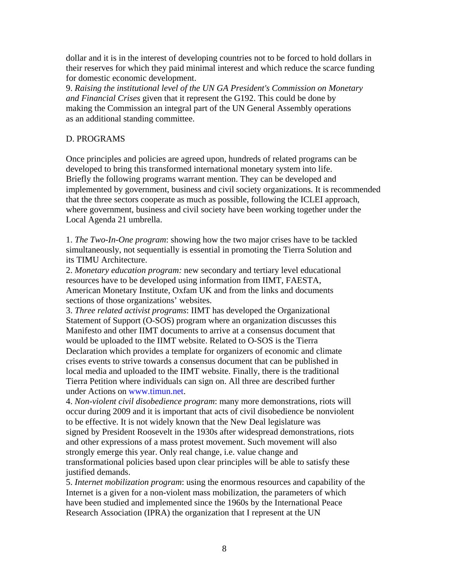dollar and it is in the interest of developing countries not to be forced to hold dollars in their reserves for which they paid minimal interest and which reduce the scarce funding for domestic economic development.

9. *Raising the institutional level of the UN GA President's Commission on Monetary and Financial Crises* given that it represent the G192. This could be done by making the Commission an integral part of the UN General Assembly operations as an additional standing committee.

# D. PROGRAMS

Once principles and policies are agreed upon, hundreds of related programs can be developed to bring this transformed international monetary system into life. Briefly the following programs warrant mention. They can be developed and implemented by government, business and civil society organizations. It is recommended that the three sectors cooperate as much as possible, following the ICLEI approach, where government, business and civil society have been working together under the Local Agenda 21 umbrella.

1. *The Two-In-One program*: showing how the two major crises have to be tackled simultaneously, not sequentially is essential in promoting the Tierra Solution and its TIMU Architecture.

2. *Monetary education program:* new secondary and tertiary level educational resources have to be developed using information from IIMT, FAESTA, American Monetary Institute, Oxfam UK and from the links and documents sections of those organizations' websites.

3. *Three related activist programs*: IIMT has developed the Organizational Statement of Support (O-SOS) program where an organization discusses this Manifesto and other IIMT documents to arrive at a consensus document that would be uploaded to the IIMT website. Related to O-SOS is the Tierra Declaration which provides a template for organizers of economic and climate crises events to strive towards a consensus document that can be published in local media and uploaded to the IIMT website. Finally, there is the traditional Tierra Petition where individuals can sign on. All three are described further under Actions on www.timun.net.

4. *Non-violent civil disobedience program*: many more demonstrations, riots will occur during 2009 and it is important that acts of civil disobedience be nonviolent to be effective. It is not widely known that the New Deal legislature was signed by President Roosevelt in the 1930s after widespread demonstrations, riots and other expressions of a mass protest movement. Such movement will also strongly emerge this year. Only real change, i.e. value change and transformational policies based upon clear principles will be able to satisfy these justified demands.

5. *Internet mobilization program*: using the enormous resources and capability of the Internet is a given for a non-violent mass mobilization, the parameters of which have been studied and implemented since the 1960s by the International Peace Research Association (IPRA) the organization that I represent at the UN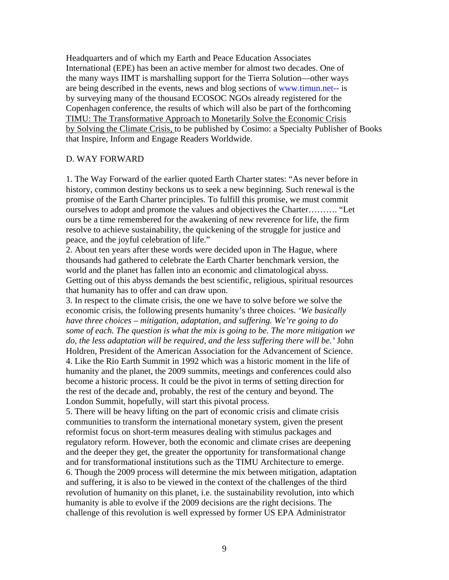Headquarters and of which my Earth and Peace Education Associates International (EPE) has been an active member for almost two decades. One of the many ways IIMT is marshalling support for the Tierra Solution—other ways are being described in the events, news and blog sections of www.timun.net-- is by surveying many of the thousand ECOSOC NGOs already registered for the Copenhagen conference, the results of which will also be part of the forthcoming TIMU: The Transformative Approach to Monetarily Solve the Economic Crisis by Solving the Climate Crisis, to be published by Cosimo: a Specialty Publisher of Books that Inspire, Inform and Engage Readers Worldwide.

### D. WAY FORWARD

1. The Way Forward of the earlier quoted Earth Charter states: "As never before in history, common destiny beckons us to seek a new beginning. Such renewal is the promise of the Earth Charter principles. To fulfill this promise, we must commit ourselves to adopt and promote the values and objectives the Charter………. "Let ours be a time remembered for the awakening of new reverence for life, the firm resolve to achieve sustainability, the quickening of the struggle for justice and peace, and the joyful celebration of life."

2. About ten years after these words were decided upon in The Hague, where thousands had gathered to celebrate the Earth Charter benchmark version, the world and the planet has fallen into an economic and climatological abyss. Getting out of this abyss demands the best scientific, religious, spiritual resources that humanity has to offer and can draw upon.

3. In respect to the climate crisis, the one we have to solve before we solve the economic crisis, the following presents humanity's three choices. *'We basically have three choices – mitigation, adaptation, and suffering. We're going to do some of each. The question is what the mix is going to be. The more mitigation we do, the less adaptation will be required, and the less suffering there will be.'* John Holdren, President of the American Association for the Advancement of Science. 4. Like the Rio Earth Summit in 1992 which was a historic moment in the life of humanity and the planet, the 2009 summits, meetings and conferences could also become a historic process. It could be the pivot in terms of setting direction for the rest of the decade and, probably, the rest of the century and beyond. The London Summit, hopefully, will start this pivotal process.

5. There will be heavy lifting on the part of economic crisis and climate crisis communities to transform the international monetary system, given the present reformist focus on short-term measures dealing with stimulus packages and regulatory reform. However, both the economic and climate crises are deepening and the deeper they get, the greater the opportunity for transformational change and for transformational institutions such as the TIMU Architecture to emerge. 6. Though the 2009 process will determine the mix between mitigation, adaptation and suffering, it is also to be viewed in the context of the challenges of the third revolution of humanity on this planet, i.e. the sustainability revolution, into which humanity is able to evolve if the 2009 decisions are the right decisions. The challenge of this revolution is well expressed by former US EPA Administrator